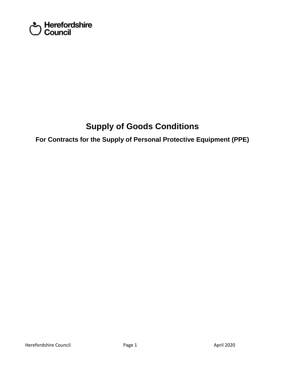

# **Supply of Goods Conditions**

 **For Contracts for the Supply of Personal Protective Equipment (PPE)**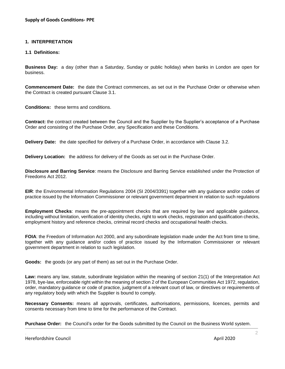# **1. INTERPRETATION**

# **1.1 Definitions:**

 **Business Day:** a day (other than a Saturday, Sunday or public holiday) when banks in London are open for business.

**Commencement Date:** the date the Contract commences, as set out in the Purchase Order or otherwise when the Contract is created pursuant Clause 3.1.

**Conditions:** these terms and conditions.

 **Contract:** the contract created between the Council and the Supplier by the Supplier's acceptance of a Purchase Order and consisting of the Purchase Order, any Specification and these Conditions.

**Delivery Date:** the date specified for delivery of a Purchase Order, in accordance with Clause 3.2.

**Delivery Location:** the address for delivery of the Goods as set out in the Purchase Order.

 **Disclosure and Barring Service**: means the Disclosure and Barring Service established under the Protection of Freedoms Act 2012.

 **EIR**: the Environmental Information Regulations 2004 (SI 2004/3391) together with any guidance and/or codes of practice issued by the Information Commissioner or relevant government department in relation to such regulations

 **Employment Checks**: means the pre-appointment checks that are required by law and applicable guidance, including without limitation, verification of identity checks, right to work checks, registration and qualification checks, employment history and reference checks, criminal record checks and occupational health checks.

 **FOIA**: the Freedom of Information Act 2000, and any subordinate legislation made under the Act from time to time, together with any guidance and/or codes of practice issued by the Information Commissioner or relevant government department in relation to such legislation.

**Goods:** the goods (or any part of them) as set out in the Purchase Order.

 **Law:** means any law, statute, subordinate legislation within the meaning of section 21(1) of the Interpretation Act 1978, bye-law, enforceable right within the meaning of section 2 of the European Communities Act 1972, regulation, order, mandatory guidance or code of practice, judgment of a relevant court of law, or directives or requirements of any regulatory body with which the Supplier is bound to comply.

 **Necessary Consents:** means all approvals, certificates, authorisations, permissions, licences, permits and consents necessary from time to time for the performance of the Contract.

**Purchase Order:** the Council's order for the Goods submitted by the Council on the Business World system.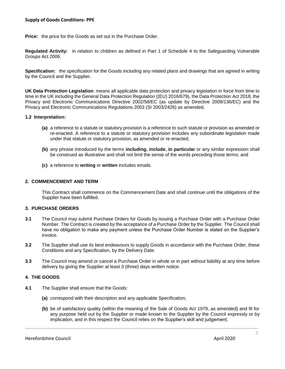**Price:** the price for the Goods as set out in the Purchase Order.

 **Regulated Activity:** in relation to children as defined in Part 1 of Schedule 4 to the Safeguarding Vulnerable Groups Act 2006.

**Specification:** the specification for the Goods including any related plans and drawings that are agreed in writing by the Council and the Supplier.

 time in the UK including the General Data Protection Regulation ((EU) 2016/679), the Data Protection Act 2018, the Privacy and Electronic Communications Directive 2002/58/EC (as update by Directive 2009/136/EC) and the **UK Data Protection Legislation**: means all applicable data protection and privacy legislation in force from time to Privacy and Electronic Communications Regulations 2003 (SI 2003/2426) as amended.

#### **1.2 Interpretation:**

- **(a)** a reference to a statute or statutory provision is a reference to such statute or provision as amended or re-enacted. A reference to a statute or statutory provision includes any subordinate legislation made under that statute or statutory provision, as amended or re-enacted;
- **(b)** any phrase introduced by the terms **including**, **include**, **in particular** or any similar expression shall be construed as illustrative and shall not limit the sense of the words preceding those terms; and
- **(c)** a reference to **writing** or **written** includes emails.

#### **2. COMMENCEMENT AND TERM**

 This Contract shall commence on the Commencement Date and shall continue until the obligations of the Supplier have been fulfilled.

#### **3. PURCHASE ORDERS**

- **3.1** The Council may submit Purchase Orders for Goods by issuing a Purchase Order with a Purchase Order Number. The Contract is created by the acceptance of a Purchase Order by the Supplier. The Council shall have no obligation to make any payment unless the Purchase Order Number is stated on the Supplier's invoice.
- **3.2** The Supplier shall use its best endeavours to supply Goods in accordance with the Purchase Order, these Conditions and any Specification, by the Delivery Date.
- **3.3** The Council may amend or cancel a Purchase Order in whole or in part without liability at any time before delivery by giving the Supplier at least 3 (three) days written notice.

# **4. THE GOODS**

- **4.1** The Supplier shall ensure that the Goods:
	- **(a)** correspond with their description and any applicable Specification;
	- **(b)** be of satisfactory quality (within the meaning of the Sale of Goods Act 1979, as amended) and fit for any purpose held out by the Supplier or made known to the Supplier by the Council expressly or by implication, and in this respect the Council relies on the Supplier's skill and judgement;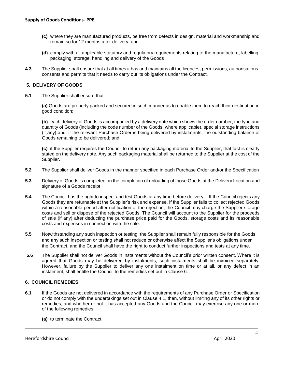- **(c)** where they are manufactured products, be free from defects in design, material and workmanship and remain so for 12 months after delivery; and
- **(d)** comply with all applicable statutory and regulatory requirements relating to the manufacture, labelling, packaging, storage, handling and delivery of the Goods
- **4.3** The Supplier shall ensure that at all times it has and maintains all the licences, permissions, authorisations, consents and permits that it needs to carry out its obligations under the Contract.

# **5. DELIVERY OF GOODS**

**5.1** The Supplier shall ensure that:

 **(a)** Goods are properly packed and secured in such manner as to enable them to reach their destination in good condition;

 **(b)** each delivery of Goods is accompanied by a delivery note which shows the order number, the type and quantity of Goods (including the code number of the Goods, where applicable), special storage instructions (if any) and, if the relevant Purchase Order is being delivered by instalments, the outstanding balance of Goods remaining to be delivered; and

 **(c)** if the Supplier requires the Council to return any packaging material to the Supplier, that fact is clearly stated on the delivery note. Any such packaging material shall be returned to the Supplier at the cost of the Supplier.

- **5.2** The Supplier shall deliver Goods in the manner specified in each Purchase Order and/or the Specification
- **5.3** Delivery of Goods is completed on the completion of unloading of those Goods at the Delivery Location and signature of a Goods receipt.
- **5.4** The Council has the right to inspect and test Goods at any time before delivery. If the Council rejects any Goods they are returnable at the Supplier's risk and expense. If the Supplier fails to collect rejected Goods within a reasonable period after notification of the rejection, the Council may charge the Supplier storage costs and sell or dispose of the rejected Goods. The Council will account to the Supplier for the proceeds of sale (if any) after deducting the purchase price paid for the Goods, storage costs and its reasonable costs and expenses in connection with the sale.
- the Contract, and the Council shall have the right to conduct further inspections and tests at any time. **5.5** Notwithstanding any such inspection or testing, the Supplier shall remain fully responsible for the Goods and any such inspection or testing shall not reduce or otherwise affect the Supplier's obligations under
- **5.6** The Supplier shall not deliver Goods in instalments without the Council's prior written consent. Where it is agreed that Goods may be delivered by instalments, such instalments shall be invoiced separately. However, failure by the Supplier to deliver any one instalment on time or at all, or any defect in an instalment, shall entitle the Council to the remedies set out in Clause 6.

# **6. COUNCIL REMEDIES**

- **6.1** If the Goods are not delivered in accordance with the requirements of any Purchase Order or Specification remedies, and whether or not it has accepted any Goods and the Council may exercise any one or more or do not comply with the undertakings set out in Clause 4.1, then, without limiting any of its other rights or of the following remedies:
	- **(a)** to terminate the Contract;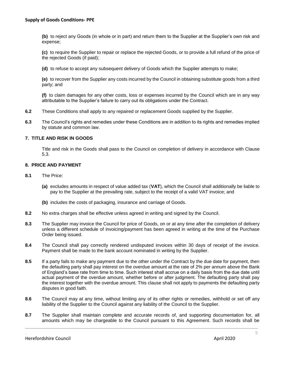**(b)** to reject any Goods (in whole or in part) and return them to the Supplier at the Supplier's own risk and expense;

 **(c)** to require the Supplier to repair or replace the rejected Goods, or to provide a full refund of the price of the rejected Goods (if paid);

**(d)** to refuse to accept any subsequent delivery of Goods which the Supplier attempts to make;

 **(e)** to recover from the Supplier any costs incurred by the Council in obtaining substitute goods from a third party; and

 **(f)** to claim damages for any other costs, loss or expenses incurred by the Council which are in any way attributable to the Supplier's failure to carry out its obligations under the Contract.

- **6.2** These Conditions shall apply to any repaired or replacement Goods supplied by the Supplier.
- **6.3** The Council's rights and remedies under these Conditions are in addition to its rights and remedies implied by statute and common law.

# **7. TITLE AND RISK IN GOODS**

 Title and risk in the Goods shall pass to the Council on completion of delivery in accordance with Clause 5.3.

# **8. PRICE AND PAYMENT**

- **8.1** The Price:
	- **(a)** excludes amounts in respect of value added tax (**VAT**), which the Council shall additionally be liable to pay to the Supplier at the prevailing rate, subject to the receipt of a valid VAT invoice; and
	- **(b)** includes the costs of packaging, insurance and carriage of Goods.
- **8.2** No extra charges shall be effective unless agreed in writing and signed by the Council.
- **8.3** The Supplier may invoice the Council for price of Goods, on or at any time after the completion of delivery unless a different schedule of invoicing/payment has been agreed in writing at the time of the Purchase Order being issued.
- **8.4** The Council shall pay correctly rendered undisputed invoices within 30 days of receipt of the invoice. Payment shall be made to the bank account nominated in writing by the Supplier.
- the defaulting party shall pay interest on the overdue amount at the rate of 2% per annum above the Bank of England's base rate from time to time. Such interest shall accrue on a daily basis from the due date until actual payment of the overdue amount, whether before or after judgment. The defaulting party shall pay the interest together with the overdue amount. This clause shall not apply to payments the defaulting party **8.5** If a party fails to make any payment due to the other under the Contract by the due date for payment, then disputes in good faith.
- **8.6** The Council may at any time, without limiting any of its other rights or remedies, withhold or set off any liability of the Supplier to the Council against any liability of the Council to the Supplier.
- amounts which may be chargeable to the Council pursuant to this Agreement. Such records shall be **8.7** The Supplier shall maintain complete and accurate records of, and supporting documentation for, all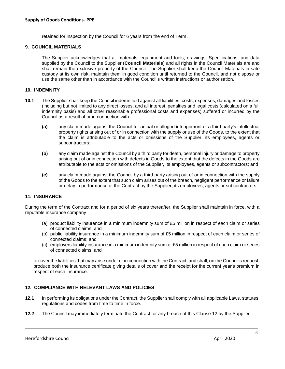retained for inspection by the Council for 6 years from the end of Term.

#### **9. COUNCIL MATERIALS**

 The Supplier acknowledges that all materials, equipment and tools, drawings, Specifications, and data supplied by the Council to the Supplier (**Council Materials**) and all rights in the Council Materials are and shall remain the exclusive property of the Council. The Supplier shall keep the Council Materials in safe custody at its own risk, maintain them in good condition until returned to the Council, and not dispose or use the same other than in accordance with the Council's written instructions or authorisation.

#### **10. INDEMNITY**

- **10.1** The Supplier shall keep the Council indemnified against all liabilities, costs, expenses, damages and losses (including but not limited to any direct losses, and all interest, penalties and legal costs (calculated on a full indemnity basis) and all other reasonable professional costs and expenses) suffered or incurred by the Council as a result of or in connection with:
	- **(a)** any claim made against the Council for actual or alleged infringement of a third party's intellectual property rights arising out of or in connection with the supply or use of the Goods, to the extent that the claim is attributable to the acts or omissions of the Supplier, its employees, agents or subcontractors;
	- **(b)** any claim made against the Council by a third party for death, personal injury or damage to property arising out of or in connection with defects in Goods to the extent that the defects in the Goods are attributable to the acts or omissions of the Supplier, its employees, agents or subcontractors; and
	- **(c)** any claim made against the Council by a third party arising out of or in connection with the supply of the Goods to the extent that such claim arises out of the breach, negligent performance or failure or delay in performance of the Contract by the Supplier, its employees, agents or subcontractors.

# **11. INSURANCE**

 During the term of the Contract and for a period of six years thereafter, the Supplier shall maintain in force, with a reputable insurance company

- (a) product liability insurance in a minimum indemnity sum of £5 million in respect of each claim or series of connected claims; and
- (b) public liability insurance in a minimum indemnity sum of £5 million in respect of each claim or series of connected claims; and
- (c) employers liability insurance in a minimum indemnity sum of £5 million in respect of each claim or series of connected claims; and

 to cover the liabilities that may arise under or in connection with the Contract, and shall, on the Council's request, produce both the insurance certificate giving details of cover and the receipt for the current year's premium in respect of each insurance.

# **12. COMPLIANCE WITH RELEVANT LAWS AND POLICIES**

- **12.1** In performing its obligations under the Contract, the Supplier shall comply with all applicable Laws, statutes, regulations and codes from time to time in force.
- **12.2** The Council may immediately terminate the Contract for any breach of this Clause 12 by the Supplier.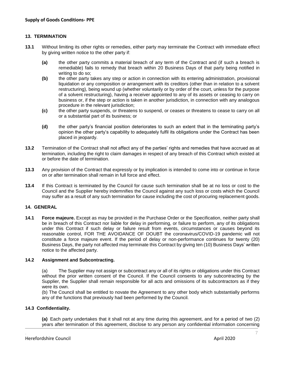# **13. TERMINATION**

- **13.1** Without limiting its other rights or remedies, either party may terminate the Contract with immediate effect by giving written notice to the other party if:
	- **(a)** the other party commits a material breach of any term of the Contract and (if such a breach is remediable) fails to remedy that breach within 20 Business Days of that party being notified in writing to do so;
	- **(b)** the other party takes any step or action in connection with its entering administration, provisional liquidation or any composition or arrangement with its creditors (other than in relation to a solvent restructuring), being wound up (whether voluntarily or by order of the court, unless for the purpose of a solvent restructuring), having a receiver appointed to any of its assets or ceasing to carry on business or, if the step or action is taken in another jurisdiction, in connection with any analogous procedure in the relevant jurisdiction;
	- **(c)** the other party suspends, or threatens to suspend, or ceases or threatens to cease to carry on all or a substantial part of its business; or
	- **(d)** the other party's financial position deteriorates to such an extent that in the terminating party's opinion the other party's capability to adequately fulfil its obligations under the Contract has been placed in jeopardy.
- termination, including the right to claim damages in respect of any breach of this Contract which existed at **13.2** Termination of the Contract shall not affect any of the parties' rights and remedies that have accrued as at or before the date of termination.
- **13.3** Any provision of the Contract that expressly or by implication is intended to come into or continue in force on or after termination shall remain in full force and effect.
- **13.4** If this Contract is terminated by the Council for cause such termination shall be at no loss or cost to the Council and the Supplier hereby indemnifies the Council against any such loss or costs which the Council may suffer as a result of any such termination for cause including the cost of procuring replacement goods.

# **14. GENERAL**

 be in breach of this Contract nor liable for delay in performing, or failure to perform, any of its obligations under this Contract if such delay or failure result from events, circumstances or causes beyond its reasonable control, FOR THE AVOIDANCE OF DOUBT the coronavirus/COVID-19 pandemic will not constitute a force majeure event. If the period of delay or non-performance continues for twenty (20) Business Days, the party not affected may terminate this Contract by giving ten (10) Business Days' written **14.1 Force majeure.** Except as may be provided in the Purchase Order or the Specification, neither party shall notice to the affected party.

#### **14.2 Assignment and Subcontracting.**

 (a) The Supplier may not assign or subcontract any or all of its rights or obligations under this Contract without the prior written consent of the Council. If the Council consents to any subcontracting by the Supplier, the Supplier shall remain responsible for all acts and omissions of its subcontractors as if they were its own.

 (b) The Council shall be entitled to novate the Agreement to any other body which substantially performs any of the functions that previously had been performed by the Council.

#### **14.3 Confidentiality.**

 **(a)** Each party undertakes that it shall not at any time during this agreement, and for a period of two (2) years after termination of this agreement, disclose to any person any confidential information concerning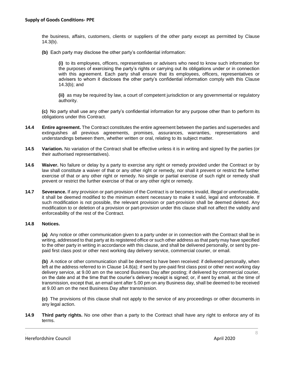the business, affairs, customers, clients or suppliers of the other party except as permitted by Clause 14.3(b).

**(b)** Each party may disclose the other party's confidential information:

 **(i)** to its employees, officers, representatives or advisers who need to know such information for the purposes of exercising the party's rights or carrying out its obligations under or in connection with this agreement. Each party shall ensure that its employees, officers, representatives or advisers to whom it discloses the other party's confidential information comply with this Clause 14.3(b); and

 **(ii)** as may be required by law, a court of competent jurisdiction or any governmental or regulatory authority.

 **(c)** No party shall use any other party's confidential information for any purpose other than to perform its obligations under this Contract.

- **14.4 Entire agreement.** The Contract constitutes the entire agreement between the parties and supersedes and extinguishes all previous agreements, promises, assurances, warranties, representations and understandings between them, whether written or oral, relating to its subject matter.
- **14.5 Variation.** No variation of the Contract shall be effective unless it is in writing and signed by the parties (or their authorised representatives).
- **14.6 Waiver.** No failure or delay by a party to exercise any right or remedy provided under the Contract or by law shall constitute a waiver of that or any other right or remedy, nor shall it prevent or restrict the further exercise of that or any other right or remedy. No single or partial exercise of such right or remedy shall prevent or restrict the further exercise of that or any other right or remedy.
- **14.7 Severance.** If any provision or part-provision of the Contract is or becomes invalid, illegal or unenforceable, it shall be deemed modified to the minimum extent necessary to make it valid, legal and enforceable. If such modification is not possible, the relevant provision or part-provision shall be deemed deleted. Any modification to or deletion of a provision or part-provision under this clause shall not affect the validity and enforceability of the rest of the Contract.

# **14.8 Notices.**

 **(a)** Any notice or other communication given to a party under or in connection with the Contract shall be in writing, addressed to that party at its registered office or such other address as that party may have specified to the other party in writing in accordance with this clause, and shall be delivered personally, or sent by prepaid first class post or other next working day delivery service, commercial courier, or email.

 **(b)** A notice or other communication shall be deemed to have been received: if delivered personally, when left at the address referred to in Clause 14.8(a); if sent by pre-paid first class post or other next working day delivery service, at 9.00 am on the second Business Day after posting; if delivered by commercial courier, on the date and at the time that the courier's delivery receipt is signed; or, if sent by email, at the time of transmission, except that, an email sent after 5.00 pm on any Business day, shall be deemed to be received at 9.00 am on the next Business Day after transmission.

 **(c)** The provisions of this clause shall not apply to the service of any proceedings or other documents in any legal action.

 **14.9 Third party rights.** No one other than a party to the Contract shall have any right to enforce any of its terms.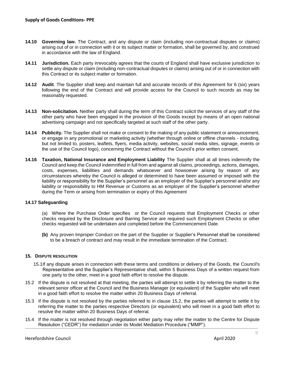- **14.10 Governing law.** The Contract, and any dispute or claim (including non-contractual disputes or claims) arising out of or in connection with it or its subject matter or formation, shall be governed by, and construed in accordance with the law of England.
- **14.11 Jurisdiction.** Each party irrevocably agrees that the courts of England shall have exclusive jurisdiction to settle any dispute or claim (including non-contractual disputes or claims) arising out of or in connection with this Contract or its subject matter or formation.
- **14.12 Audit**. The Supplier shall keep and maintain full and accurate records of this Agreement for 6 (six) years following the end of the Contract and will provide access for the Council to such records as may be reasonably requested.
- **14.13 Non-solicitation.** Neither party shall during the term of this Contract solicit the services of any staff of the other party who have been engaged in the provision of the Goods except by means of an open national advertising campaign and not specifically targeted at such staff of the other party.
- **14.14 Publicity.** The Supplier shall not make or consent to the making of any public statement or announcement, or engage in any promotional or marketing activity (whether through online or offline channels - including, but not limited to, posters, leaflets, flyers, media activity, websites, social media sites, signage, events or the use of the Council logo), concerning the Contract without the Council's prior written consent.
- **14.16 Taxation, National Insurance and Employment Liability** The Supplier shall at all times indemnify the Council and keep the Council indemnified in full from and against all claims, proceedings, actions, damages, costs, expenses, liabilities and demands whatsoever and howsoever arising by reason of any circumstances whereby the Council is alleged or determined to have been assumed or imposed with the liability or responsibility for the Supplier's personnel as an employer of the Supplier's personnel and/or any liability or responsibility to HM Revenue or Customs as an employer of the Supplier's personnel whether during the Term or arising from termination or expiry of this Agreement

# **14.17 Safeguarding**

 (a) Where the Purchase Order specifies or the Council requests that Employment Checks or other checks required by the Disclosure and Barring Service are required such Employment Checks or other checks requested will be undertaken and completed before the Commencement Date.

 **(b)** Any proven Improper Conduct on the part of the Supplier or Supplier's Personnel shall be considered to be a breach of contract and may result in the immediate termination of the Contract.

#### **15. DISPUTE RESOLUTION**

- 15.1If any dispute arises in connection with these terms and conditions or delivery of the Goods, the Council's Representative and the Supplier's Representative shall, within 5 Business Days of a written request from one party to the other, meet in a good faith effort to resolve the dispute.
- 15.2 If the dispute is not resolved at that meeting, the parties will attempt to settle it by referring the matter to the relevant senior officer at the Council and the Business Manager (or equivalent) of the Supplier who will meet in a good faith effort to resolve the matter within 20 Business Days of referral.
- 15.3 If the dispute is not resolved by the parties referred to in clause 15.2, the parties will attempt to settle it by referring the matter to the parties respective Directors (or equivalent) who will meet in a good faith effort to resolve the matter within 20 Business Days of referral.
- 15.4 If the matter is not resolved through negotiation either party may refer the matter to the Centre for Dispute Resolution ("CEDR") for mediation under its Model Mediation Procedure ("MMP").

. 9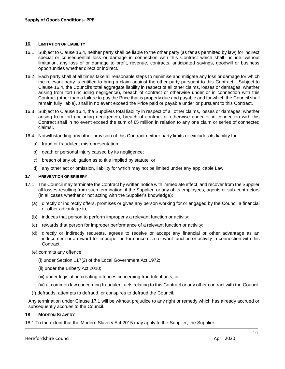#### **16. LIMITATION OF LIABILITY**

- special or consequential loss or damage in connection with this Contract which shall include, without limitation, any loss of or damage to profit, revenue, contracts, anticipated savings, goodwill or business 16.1 Subject to Clause 16.4, neither party shall be liable to the other party (as far as permitted by law) for indirect opportunities whether direct or indirect.
- 16.2 Each party shall at all times take all reasonable steps to minimise and mitigate any loss or damage for which the relevant party is entitled to bring a claim against the other party pursuant to this Contract. Subject to Contract (other than a failure to pay the Price that is properly due and payable and for which the Council shall Clause 16.4, the Council's total aggregate liability in respect of all other claims, losses or damages, whether arising from tort (including negligence), breach of contract or otherwise under or in connection with this remain fully liable), shall in no event exceed the Price paid or payable under or pursuant to this Contract.
- Contract shall in no event exceed the sum of £5 million in relation to any one claim or series of connected 16.3 Subject to Clause 16.4, the Suppliers total liability in respect of all other claims, losses or damages, whether arising from tort (including negligence), breach of contract or otherwise under or in connection with this claims;.
- 16.4 Notwithstanding any other provision of this Contract neither party limits or excludes its liability for:
	- a) fraud or fraudulent misrepresentation;
	- b) death or personal injury caused by its negligence;
	- c) breach of any obligation as to title implied by statute; or
	- d) any other act or omission, liability for which may not be limited under any applicable Law.

#### **17 PREVENTION OF BRIBERY**

- 17.1 The Council may terminate the Contract by written notice with immediate effect, and recover from the Supplier all losses resulting from such termination, if the Supplier, or any of its employees, agents or sub-contractors (in all cases whether or not acting with the Supplier's knowledge):
	- (a) directly or indirectly offers, promises or gives any person working for or engaged by the Council a financial or other advantage to;
	- (b) induces that person to perform improperly a relevant function or activity;
	- (c) rewards that person for improper performance of a relevant function or activity;
	- (d) directly or indirectly requests, agrees to receive or accept any financial or other advantage as an inducement or a reward for improper performance of a relevant function or activity in connection with this Contract;
	- (e) commits any offence:
		- (i) under Section 117(2) of the Local Government Act 1972;
		- (ii) under the Bribery Act 2010;
		- (iii) under legislation creating offences concerning fraudulent acts; or
		- (iv) at common law concerning fraudulent acts relating to this Contract or any other contract with the Council.
	- (f) defrauds, attempts to defraud, or conspires to defraud the Council.

 Any termination under Clause 17.1 will be without prejudice to any right or remedy which has already accrued or subsequently accrues to the Council.

#### **18 MODERN SLAVERY**

18.1 To the extent that the Modern Slavery Act 2015 may apply to the Supplier, the Supplier: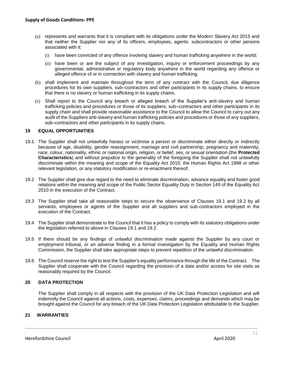- (a) represents and warrants that it is compliant with its obligations under the Modern Slavery Act 2015 and that neither the Supplier nor any of its officers, employees, agents. subcontractors or other persons associated with it:
	- (i) have been convicted of any offence involving slavery and human trafficking anywhere in the world;
	- (ii) have been or are the subject of any investigation, inquiry or enforcement proceedings by any governmental, administrative or regulatory body anywhere in the world regarding any offence or alleged offence of or in connection with slavery and human trafficking.
- (b) shall implement and maintain throughout the term of any contract with the Council, due diligence procedures for its own suppliers, sub–contractors and other participants in its supply chains, to ensure that there is no slavery or human trafficking in its supply chains.
- (c) Shall report to the Council any breach or alleged breach of the Supplier's anti-slavery and human trafficking policies and procedures or those of its suppliers, sub–contractors and other participants in its audit of the Suppliers anti-slavery and human trafficking policies and procedures or those of any suppliers, supply chain and shall provide reasonable assistance to the Council to allow the Council to carry out any sub–contractors and other participants in its supply chains.

#### **19 EQUAL OPPORTUNITIES**

- 19.1 The Supplier shall not unlawfully harass or victimise a person or discriminate either directly or indirectly because of age, disability, gender reassignment, marriage and civil partnership, pregnancy and maternity, **Characteristics**) and without prejudice to the generality of the foregoing the Supplier shall not unlawfully discriminate within the meaning and scope of the Equality Act 2010, the Human Rights Act 1998 or other race, colour, nationality, ethnic or national origin, religion, or belief, sex, or sexual orientation (the **Protected**  relevant legislation, or any statutory modification or re-enactment thereof.
- 19.2 The Supplier shall give due regard to the need to eliminate discrimination, advance equality and foster good relations within the meaning and scope of the Public Sector Equality Duty in Section 149 of the Equality Act 2010 in the execution of the Contract.
- 19.3 The Supplier shall take all reasonable steps to secure the observance of Clauses 19.1 and 19.2 by all servants, employees or agents of the Supplier and all suppliers and sub-contractors employed in the execution of the Contract.
- 19.4 The Supplier shall demonstrate to the Council that it has a policy to comply with its statutory obligations under the legislation referred to above in Clauses 19.1 and 19.2.
- 19.5 If there should be any findings of unlawful discrimination made against the Supplier by any court or employment tribunal, or an adverse finding in a formal investigation by the Equality and Human Rights Commission, the Supplier shall take appropriate steps to prevent repetition of the unlawful discrimination.
- 19.6 The Council reserve the right to test the Supplier's equality performance through the life of the Contract. The Supplier shall cooperate with the Council regarding the provision of a data and/or access for site visits as reasonably required by the Council.

# **20 DATA PROTECTION**

 The Supplier shall comply in all respects with the provision of the UK Data Protection Legislation and will brought against the Council for any breach of the UK Data Protection Legislation attributable to the Supplier. indemnify the Council against all actions, costs, expenses, claims, proceedings and demands which may be

#### **21 WARRANTIES**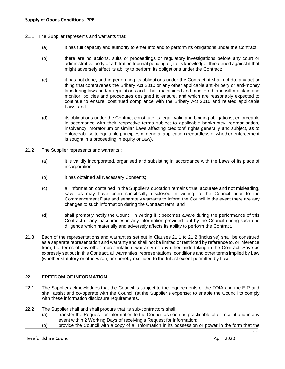- 21.1 The Supplier represents and warrants that:
	- (a) it has full capacity and authority to enter into and to perform its obligations under the Contract;
	- (b) there are no actions, suits or proceedings or regulatory investigations before any court or administrative body or arbitration tribunal pending or, to its knowledge, threatened against it that might adversely affect its ability to perform its obligations under the Contract;
	- (c) it has not done, and in performing its obligations under the Contract, it shall not do, any act or thing that contravenes the Bribery Act 2010 or any other applicable anti-bribery or anti-money laundering laws and/or regulations and it has maintained and monitored, and will maintain and monitor, policies and procedures designed to ensure, and which are reasonably expected to continue to ensure, continued compliance with the Bribery Act 2010 and related applicable Laws; and
	- (d) its obligations under the Contract constitute its legal, valid and binding obligations, enforceable in accordance with their respective terms subject to applicable bankruptcy, reorganisation, insolvency, moratorium or similar Laws affecting creditors' rights generally and subject, as to enforceability, to equitable principles of general application (regardless of whether enforcement is sought in a proceeding in equity or Law).
- 21.2 The Supplier represents and warrants :
	- (a) it is validly incorporated, organised and subsisting in accordance with the Laws of its place of incorporation;
	- (b) it has obtained all Necessary Consents;
	- (c) all information contained in the Supplier's quotation remains true, accurate and not misleading, save as may have been specifically disclosed in writing to the Council prior to the Commencement Date and separately warrants to inform the Council in the event there are any changes to such information during the Contract term; and
	- (d) shall promptly notify the Council in writing if it becomes aware during the performance of this Contract of any inaccuracies in any information provided to it by the Council during such due diligence which materially and adversely affects its ability to perform the Contract.
- 21.3 Each of the representations and warranties set out in Clauses 21.1 to 21.2 (inclusive) shall be construed as a separate representation and warranty and shall not be limited or restricted by reference to, or inference from, the terms of any other representation, warranty or any other undertaking in the Contract. Save as expressly set out in this Contract, all warranties, representations, conditions and other terms implied by Law (whether statutory or otherwise), are hereby excluded to the fullest extent permitted by Law.

# **22. FREEDOM OF INFORMATION**

- 22.1 The Supplier acknowledges that the Council is subject to the requirements of the FOIA and the EIR and shall assist and co-operate with the Council (at the Supplier's expense) to enable the Council to comply with these information disclosure requirements.
- 22.2 The Supplier shall and shall procure that its sub-contractors shall:
	- (a) transfer the Request for Information to the Council as soon as practicable after receipt and in any event within 2 Working Days of receiving a Request for Information;
	- (b) provide the Council with a copy of all Information in its possession or power in the form that the